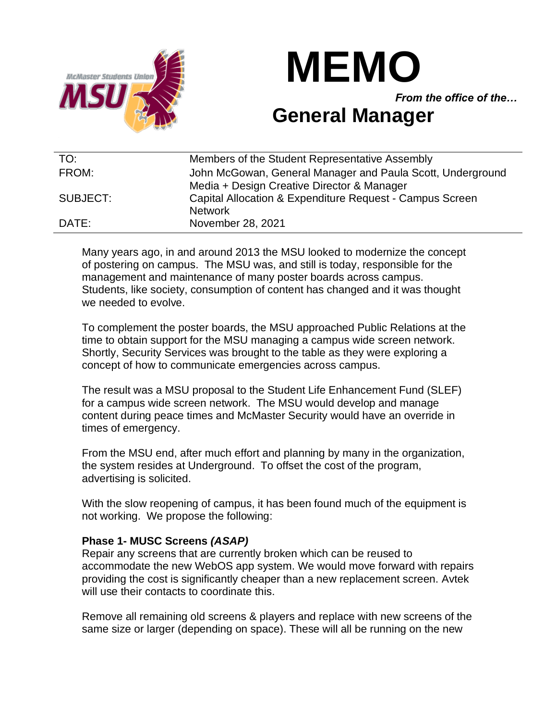



*From the office of the…*

## **General Manager**

| TO:      | Members of the Student Representative Assembly             |
|----------|------------------------------------------------------------|
| FROM:    | John McGowan, General Manager and Paula Scott, Underground |
|          | Media + Design Creative Director & Manager                 |
| SUBJECT: | Capital Allocation & Expenditure Request - Campus Screen   |
|          | <b>Network</b>                                             |
| DATE:    | November 28, 2021                                          |

Many years ago, in and around 2013 the MSU looked to modernize the concept of postering on campus. The MSU was, and still is today, responsible for the management and maintenance of many poster boards across campus. Students, like society, consumption of content has changed and it was thought we needed to evolve.

To complement the poster boards, the MSU approached Public Relations at the time to obtain support for the MSU managing a campus wide screen network. Shortly, Security Services was brought to the table as they were exploring a concept of how to communicate emergencies across campus.

The result was a MSU proposal to the Student Life Enhancement Fund (SLEF) for a campus wide screen network. The MSU would develop and manage content during peace times and McMaster Security would have an override in times of emergency.

From the MSU end, after much effort and planning by many in the organization, the system resides at Underground. To offset the cost of the program, advertising is solicited.

With the slow reopening of campus, it has been found much of the equipment is not working. We propose the following:

## **Phase 1- MUSC Screens** *(ASAP)*

Repair any screens that are currently broken which can be reused to accommodate the new WebOS app system. We would move forward with repairs providing the cost is significantly cheaper than a new replacement screen. Avtek will use their contacts to coordinate this.

Remove all remaining old screens & players and replace with new screens of the same size or larger (depending on space). These will all be running on the new